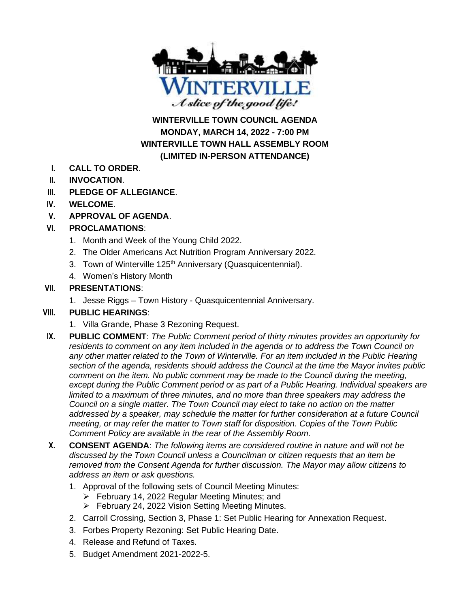

**WINTERVILLE TOWN COUNCIL AGENDA MONDAY, MARCH 14, 2022 - 7:00 PM WINTERVILLE TOWN HALL ASSEMBLY ROOM (LIMITED IN-PERSON ATTENDANCE)**

- **I. CALL TO ORDER**.
- **II. INVOCATION**.
- **III. PLEDGE OF ALLEGIANCE**.
- **IV. WELCOME**.
- **V. APPROVAL OF AGENDA**.

## **VI. PROCLAMATIONS**:

- 1. Month and Week of the Young Child 2022.
- 2. The Older Americans Act Nutrition Program Anniversary 2022.
- 3. Town of Winterville 125<sup>th</sup> Anniversary (Quasquicentennial).
- 4. Women's History Month

#### **VII. PRESENTATIONS**:

1. Jesse Riggs – Town History - Quasquicentennial Anniversary.

# **VIII. PUBLIC HEARINGS**:

- 1. Villa Grande, Phase 3 Rezoning Request.
- **IX. PUBLIC COMMENT**: *The Public Comment period of thirty minutes provides an opportunity for residents to comment on any item included in the agenda or to address the Town Council on any other matter related to the Town of Winterville. For an item included in the Public Hearing section of the agenda, residents should address the Council at the time the Mayor invites public comment on the item. No public comment may be made to the Council during the meeting, except during the Public Comment period or as part of a Public Hearing. Individual speakers are limited to a maximum of three minutes, and no more than three speakers may address the Council on a single matter. The Town Council may elect to take no action on the matter addressed by a speaker, may schedule the matter for further consideration at a future Council meeting, or may refer the matter to Town staff for disposition. Copies of the Town Public Comment Policy are available in the rear of the Assembly Room.*
- **X. CONSENT AGENDA**: *The following items are considered routine in nature and will not be discussed by the Town Council unless a Councilman or citizen requests that an item be removed from the Consent Agenda for further discussion. The Mayor may allow citizens to address an item or ask questions.*
	- 1. Approval of the following sets of Council Meeting Minutes:
		- ➢ February 14, 2022 Regular Meeting Minutes; and
		- ➢ February 24, 2022 Vision Setting Meeting Minutes.
	- 2. Carroll Crossing, Section 3, Phase 1: Set Public Hearing for Annexation Request.
	- 3. Forbes Property Rezoning: Set Public Hearing Date.
	- 4. Release and Refund of Taxes.
	- 5. Budget Amendment 2021-2022-5.